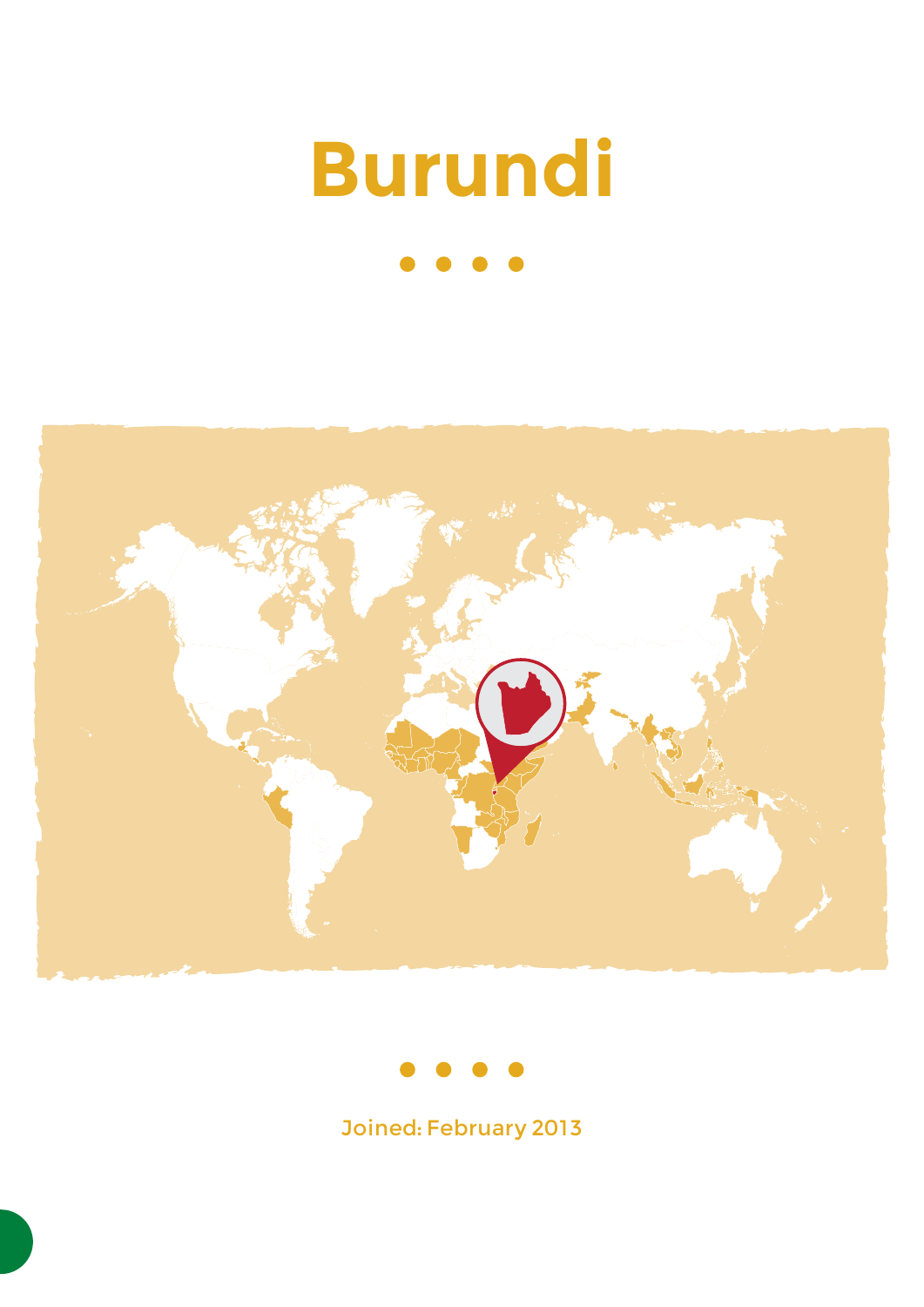# **Burundi**







Joined: February 2013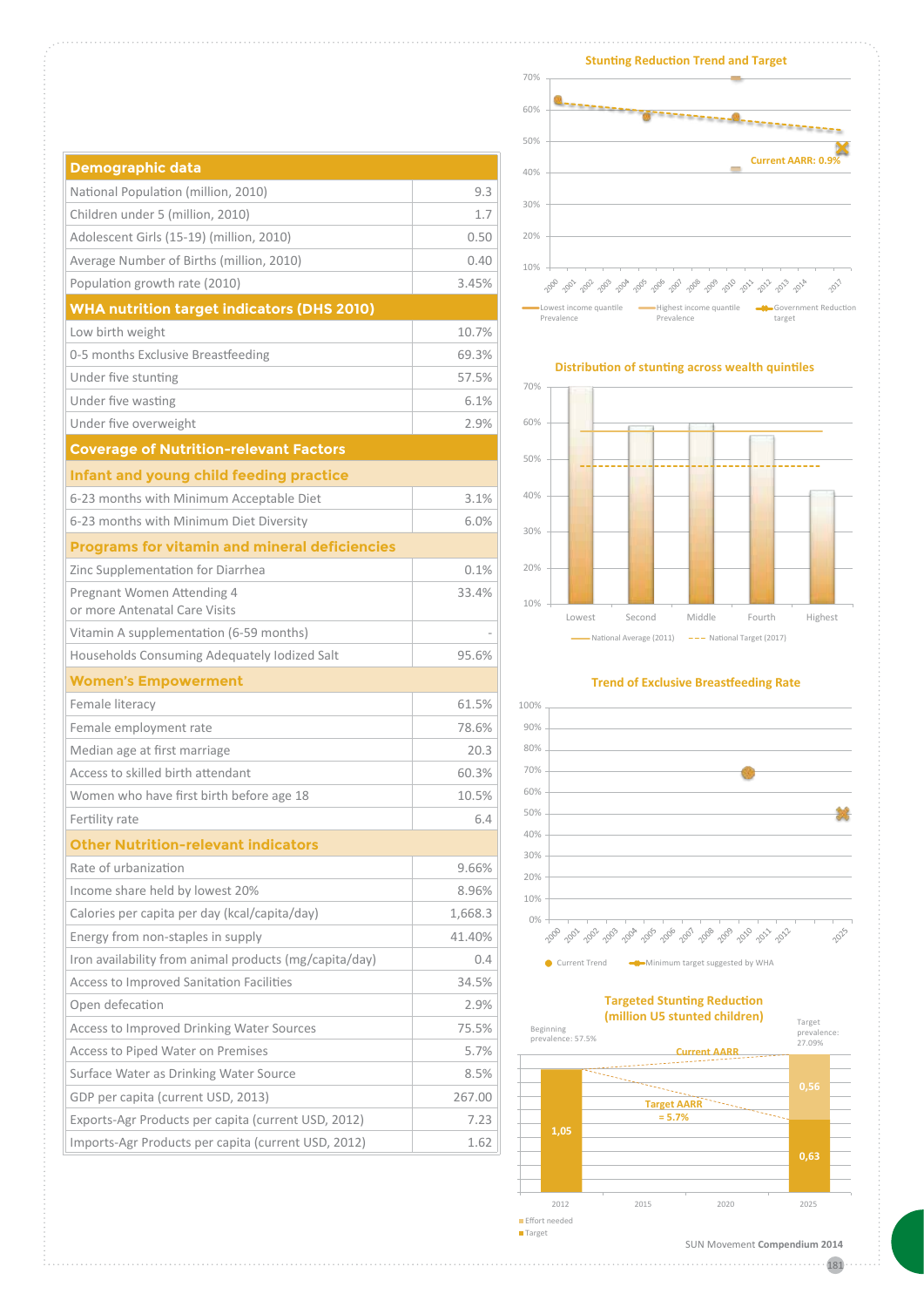| <b>Demographic data</b>                                |         |
|--------------------------------------------------------|---------|
| National Population (million, 2010)                    | 9.3     |
| Children under 5 (million, 2010)                       | 1.7     |
| Adolescent Girls (15-19) (million, 2010)               | 0.50    |
| Average Number of Births (million, 2010)               | 0.40    |
| Population growth rate (2010)                          | 3.45%   |
| <b>WHA nutrition target indicators (DHS 2010)</b>      |         |
| Low birth weight                                       | 10.7%   |
| 0-5 months Exclusive Breastfeeding                     | 69.3%   |
| Under five stunting                                    | 57.5%   |
| Under five wasting                                     | 6.1%    |
| Under five overweight                                  | 2.9%    |
| <b>Coverage of Nutrition-relevant Factors</b>          |         |
| Infant and young child feeding practice                |         |
| 6-23 months with Minimum Acceptable Diet               | 3.1%    |
| 6-23 months with Minimum Diet Diversity                | 6.0%    |
| <b>Programs for vitamin and mineral deficiencies</b>   |         |
| Zinc Supplementation for Diarrhea                      | 0.1%    |
| Pregnant Women Attending 4                             | 33.4%   |
| or more Antenatal Care Visits                          |         |
| Vitamin A supplementation (6-59 months)                |         |
| Households Consuming Adequately Iodized Salt           | 95.6%   |
| <b>Women's Empowerment</b>                             |         |
| Female literacy                                        | 61.5%   |
| Female employment rate                                 | 78.6%   |
| Median age at first marriage                           | 20.3    |
| Access to skilled birth attendant                      | 60.3%   |
| Women who have first birth before age 18               | 10.5%   |
| Fertility rate                                         | 6.4     |
| <b>Other Nutrition-relevant indicators</b>             |         |
| Rate of urbanization                                   | 9.66%   |
| Income share held by lowest 20%                        | 8.96%   |
| Calories per capita per day (kcal/capita/day)          | 1,668.3 |
| Energy from non-staples in supply                      | 41.40%  |
| Iron availability from animal products (mg/capita/day) | 0.4     |
| Access to Improved Sanitation Facilities               | 34.5%   |
| Open defecation                                        | 2.9%    |
| Access to Improved Drinking Water Sources              | 75.5%   |
| Access to Piped Water on Premises                      | 5.7%    |
| Surface Water as Drinking Water Source                 | 8.5%    |
| GDP per capita (current USD, 2013)                     | 267.00  |
| Exports-Agr Products per capita (current USD, 2012)    | 7.23    |
| Imports-Agr Products per capita (current USD, 2012)    | 1.62    |



#### **Distribution of stunting across wealth quintiles**



#### **Trend of Exclusive Breastfeeding Rate**



# **Targeted Stunting Reduction (million U5 stunted children)**



181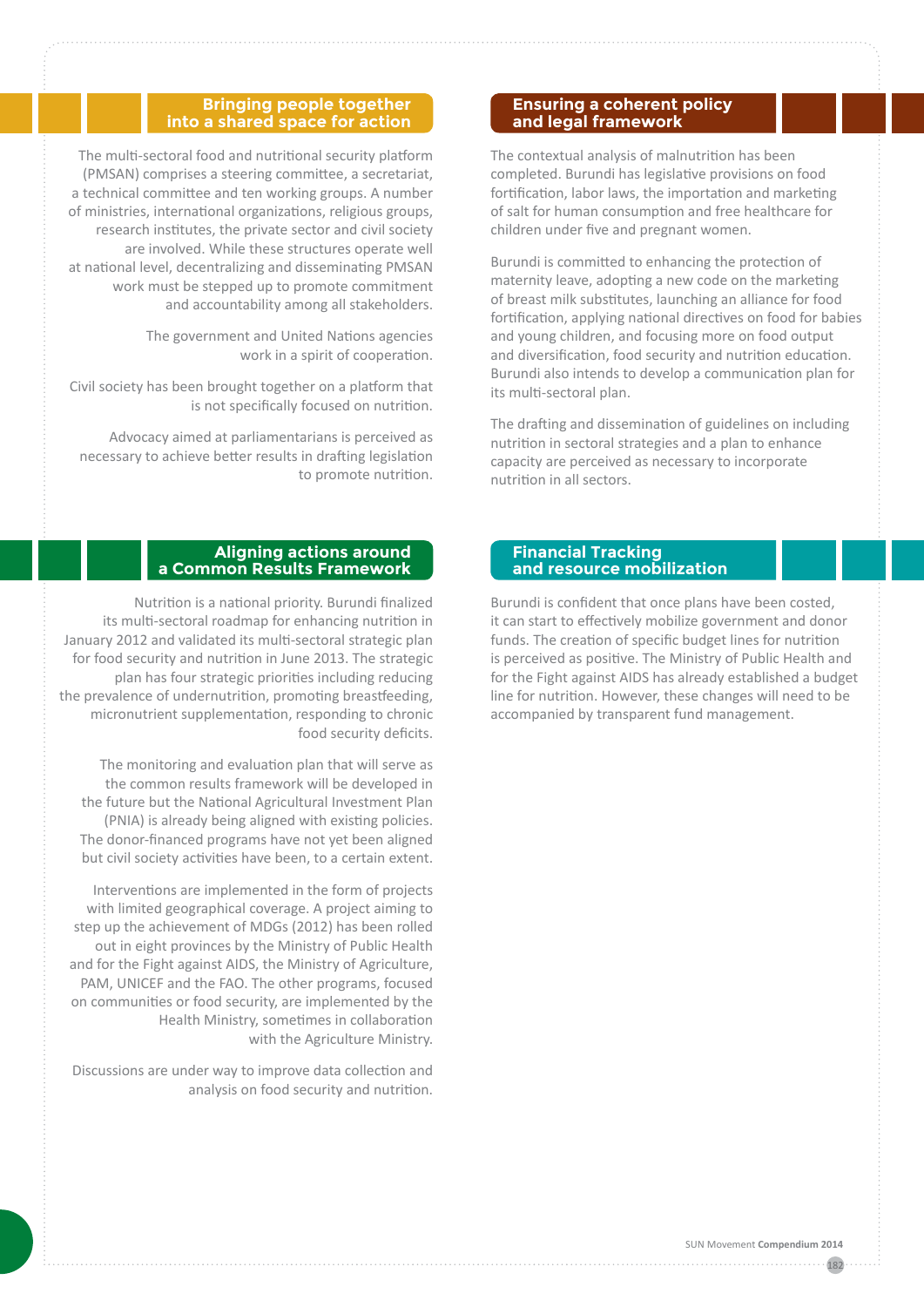#### **Bringing people together into a shared space for action**

The multi-sectoral food and nutritional security platform (PMSAN) comprises a steering committee, a secretariat, a technical committee and ten working groups. A number of ministries, international organizations, religious groups, research institutes, the private sector and civil society are involved. While these structures operate well at national level, decentralizing and disseminating PMSAN work must be stepped up to promote commitment and accountability among all stakeholders.

> The government and United Nations agencies work in a spirit of cooperation.

Civil society has been brought together on a platform that is not specifically focused on nutrition.

Advocacy aimed at parliamentarians is perceived as necessary to achieve better results in drafting legislation to promote nutrition.

### **Aligning actions around a Common Results Framework**

Nutrition is a national priority. Burundi finalized its multi-sectoral roadmap for enhancing nutrition in January 2012 and validated its multi-sectoral strategic plan for food security and nutrition in June 2013. The strategic plan has four strategic priorities including reducing the prevalence of undernutrition, promoting breastfeeding, micronutrient supplementation, responding to chronic food security deficits.

The monitoring and evaluation plan that will serve as the common results framework will be developed in the future but the National Agricultural Investment Plan (PNIA) is already being aligned with existing policies. The donor-financed programs have not yet been aligned but civil society activities have been, to a certain extent.

Interventions are implemented in the form of projects with limited geographical coverage. A project aiming to step up the achievement of MDGs (2012) has been rolled out in eight provinces by the Ministry of Public Health and for the Fight against AIDS, the Ministry of Agriculture, PAM, UNICEF and the FAO. The other programs, focused on communities or food security, are implemented by the Health Ministry, sometimes in collaboration with the Agriculture Ministry.

Discussions are under way to improve data collection and analysis on food security and nutrition.

#### **Ensuring a coherent policy and legal framework**

The contextual analysis of malnutrition has been completed. Burundi has legislative provisions on food fortification, labor laws, the importation and marketing of salt for human consumption and free healthcare for children under five and pregnant women.

Burundi is committed to enhancing the protection of maternity leave, adopting a new code on the marketing of breast milk substitutes, launching an alliance for food fortification, applying national directives on food for babies and young children, and focusing more on food output and diversification, food security and nutrition education. Burundi also intends to develop a communication plan for its multi-sectoral plan.

The drafting and dissemination of guidelines on including nutrition in sectoral strategies and a plan to enhance capacity are perceived as necessary to incorporate nutrition in all sectors.

## **Financial Tracking and resource mobilization**

Burundi is confident that once plans have been costed, it can start to effectively mobilize government and donor funds. The creation of specific budget lines for nutrition is perceived as positive. The Ministry of Public Health and for the Fight against AIDS has already established a budget line for nutrition. However, these changes will need to be accompanied by transparent fund management.

182